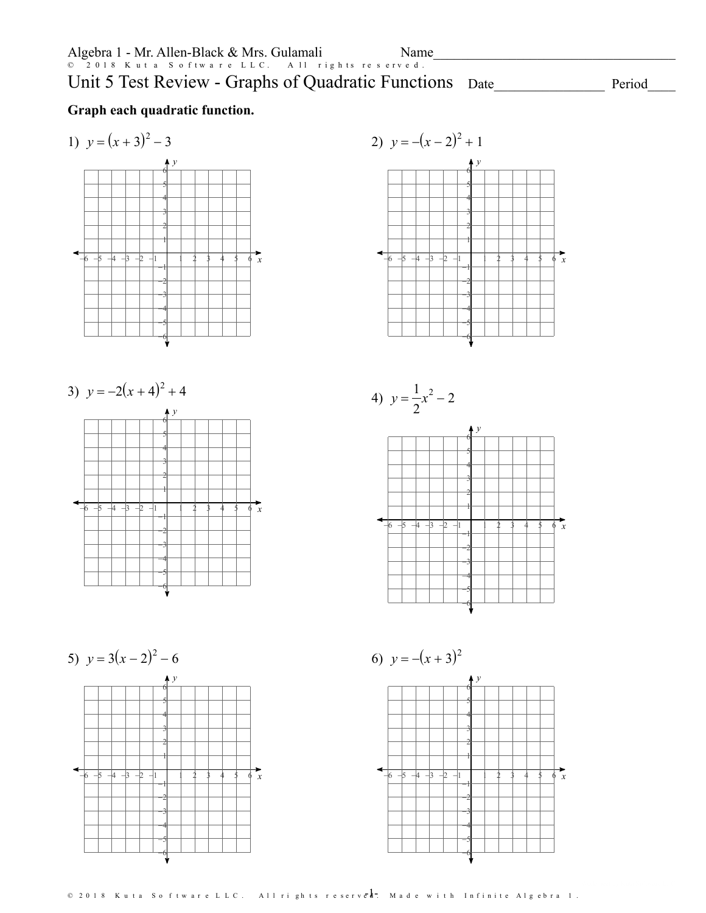*x*

 $Period$ 

### **Graph each quadratic function.**

1) *y* = (*x* + 3)<sup>2</sup> - 3 *y* -6 -5 -4 -3 -2 -1 1 2 3 4 5 6 -6-5-4-3-2-1 1 2 3 4 5 6







5) *y* = 3(*x* - 2)<sup>2</sup> - 6 *x y* -6 -5 -4 -3 -2 -1 1 2 3 4 5 6 -6-5-4-3-2-1 1 2 3 4 5 6

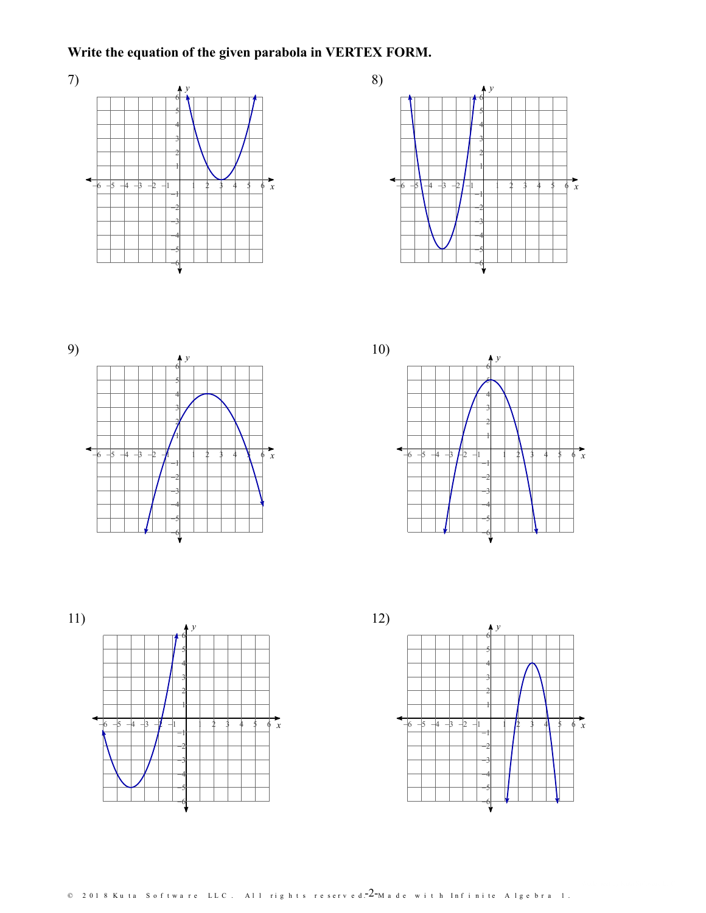# **Write the equation of the given parabola in VERTEX FORM.**











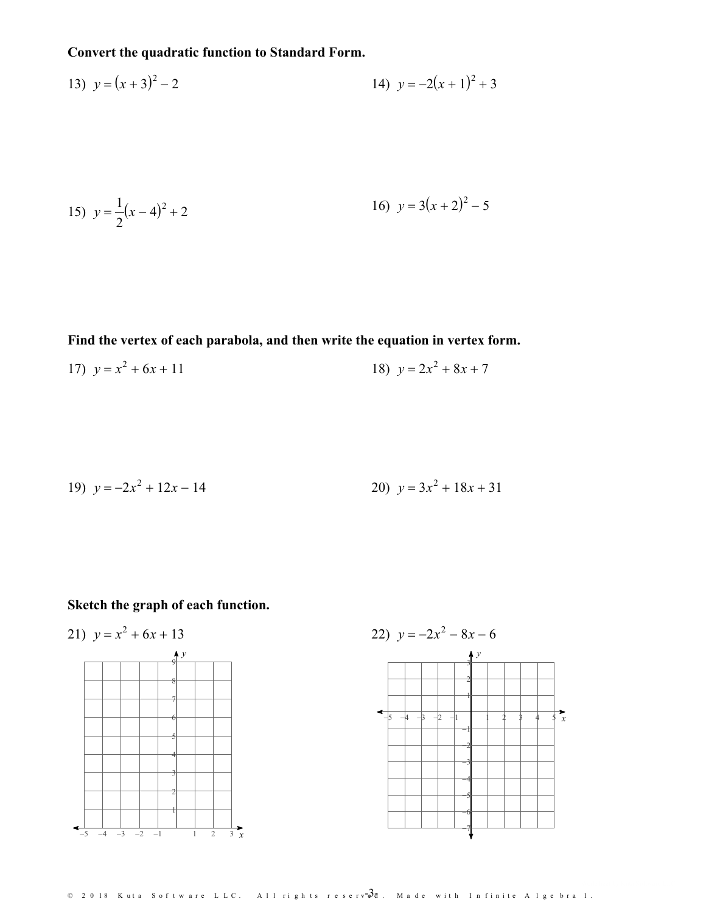### Convert the quadratic function to Standard Form.

13) 
$$
y = (x+3)^2 - 2
$$
  
14)  $y = -2(x+1)^2 + 3$ 

15) 
$$
y = \frac{1}{2}(x-4)^2 + 2
$$
  
16)  $y = 3(x+2)^2 - 5$ 

Find the vertex of each parabola, and then write the equation in vertex form.

17) 
$$
y = x^2 + 6x + 11
$$
  
18)  $y = 2x^2 + 8x + 7$ 

19) 
$$
y = -2x^2 + 12x - 14
$$
  
20)  $y = 3x^2 + 18x + 31$ 

## Sketch the graph of each function.





 $\odot$  2018 Kuta Software LLC. All rights reserv $3d$ . Made with Infinite Algebra 1.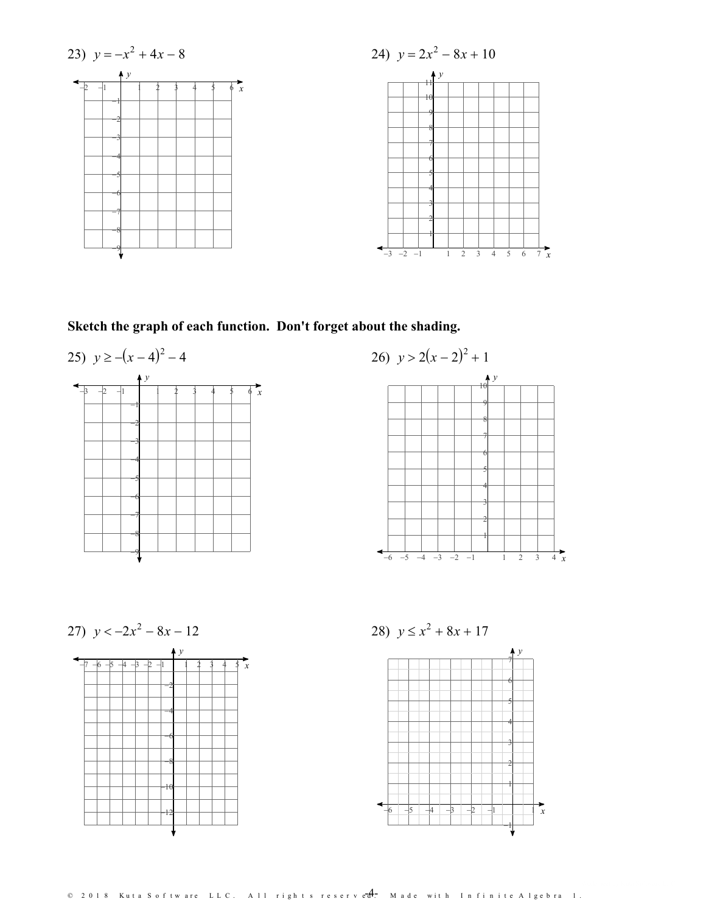

# Sketch the graph of each function. Don't forget about the shading.





27)  $y < -2x^2 - 8x - 12$ 



28)  $y \le x^2 + 8x + 17$ 

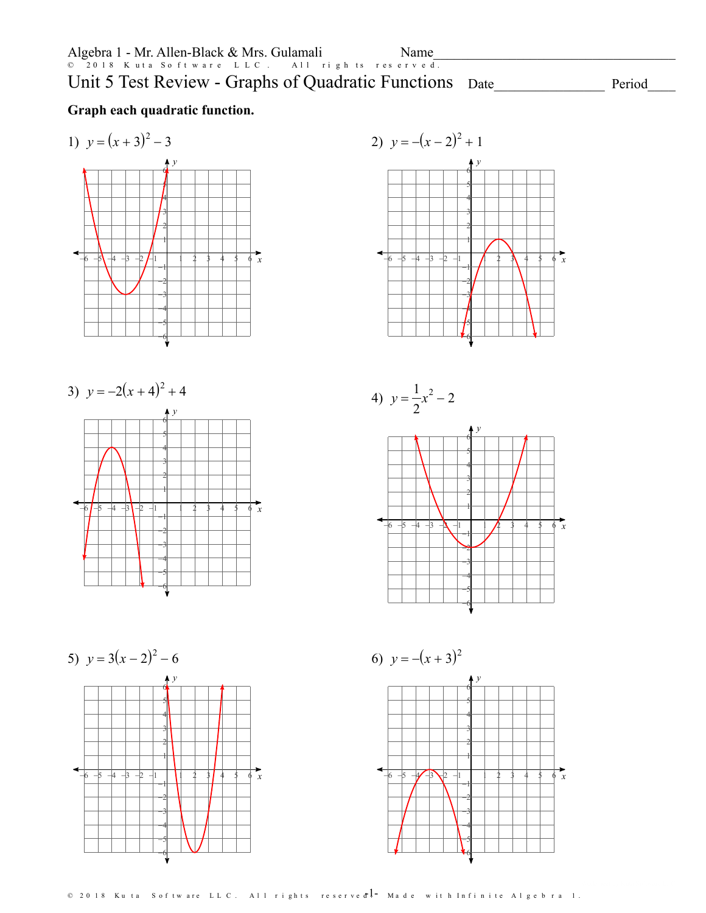# Unit 5 Test Review - Graphs of Quadratic Functions Date

Period

### **Graph each quadratic function.**











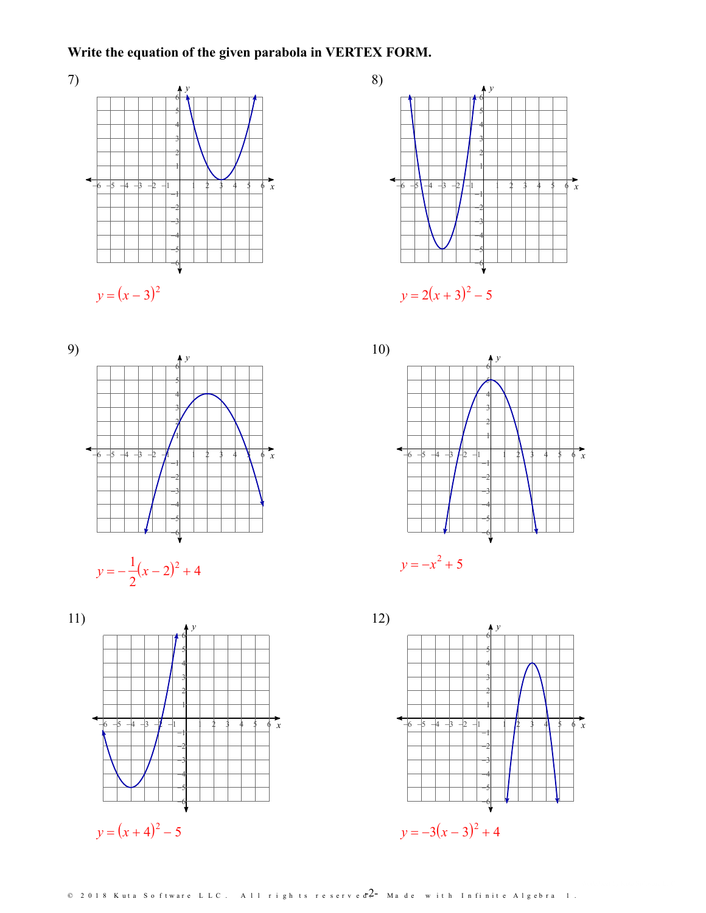### **Write the equation of the given parabola in VERTEX FORM.**













© 2018 Kuta Software LLC. All rights reserved  $2$  – Made with Infinite Algebra 1.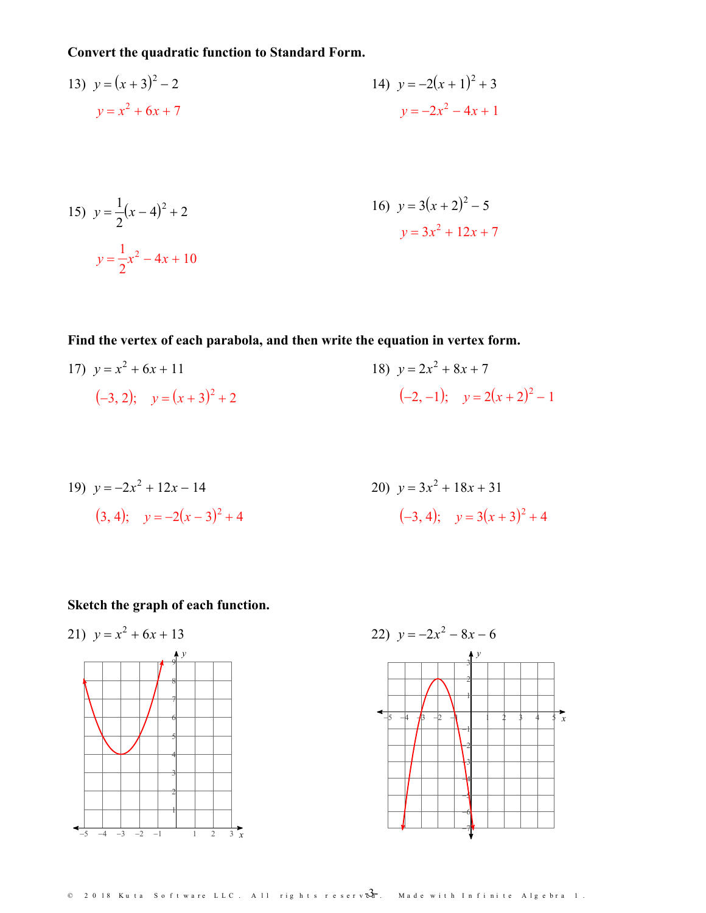### **Convert the quadratic function to Standard Form.**

13) 
$$
y = (x+3)^2 - 2
$$
  
\n $y = x^2 + 6x + 7$   
\n14)  $y = -2(x+1)^2 + 3$   
\n $y = -2x^2 - 4x + 1$ 

15) 
$$
y = \frac{1}{2}(x-4)^2 + 2
$$
  
\n $y = \frac{1}{2}x^2 - 4x + 10$   
\n16)  $y = 3(x+2)^2 - 5$   
\n $y = 3x^2 + 12x + 7$ 

**Find the vertex of each parabola, and then write the equation in vertex form.**

17) 
$$
y = x^2 + 6x + 11
$$
  
\n $(-3, 2); y = (x + 3)^2 + 2$   
\n18)  $y = 2x^2 + 8x + 7$   
\n $(-2, -1); y = 2(x + 2)^2 - 1$ 

19) 
$$
y = -2x^2 + 12x - 14
$$
  
\n20)  $y = 3x^2 + 18x + 31$   
\n3, 4);  $y = -2(x-3)^2 + 4$   
\n4.  $(-3, 4)$ ;  $y = 3(x+3)^2 + 4$ 

## **Sketch the graph of each function.**





 $\textcircled{\tiny{2018}}$  Kuta Software LLC. All rights reserv $\textcircled{\tiny{3}}$ r. Made with Infinite Algebra 1.